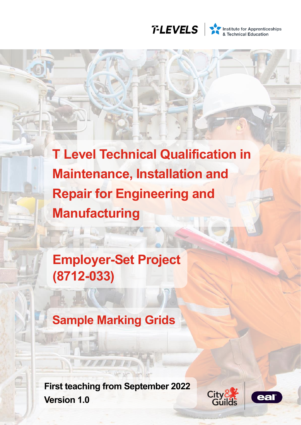

Institute for Apprenticeships<br>& Technical Education

**T Level Technical Qualification in Maintenance, Installation and Repair for Engineering and Manufacturing**

**Employer-Set Project (8712-033)**

**Sample Marking Grids**

**First teaching from September 2022 Version 1.0**



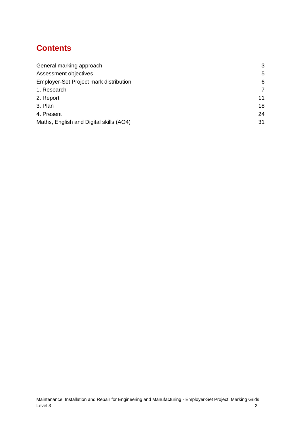# **Contents**

| General marking approach                | 3  |
|-----------------------------------------|----|
| Assessment objectives                   | 5  |
| Employer-Set Project mark distribution  | 6  |
| 1. Research                             | 7  |
| 2. Report                               | 11 |
| 3. Plan                                 | 18 |
| 4. Present                              | 24 |
| Maths, English and Digital skills (AO4) | 31 |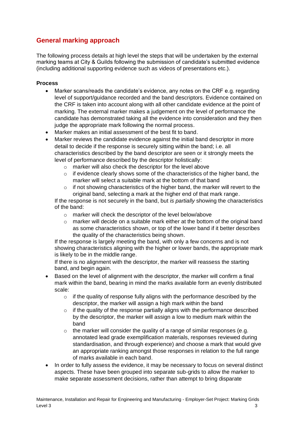# <span id="page-2-0"></span>**General marking approach**

The following process details at high level the steps that will be undertaken by the external marking teams at City & Guilds following the submission of candidate's submitted evidence (including additional supporting evidence such as videos of presentations etc.).

#### **Process**

- Marker scans/reads the candidate's evidence, any notes on the CRF e.g. regarding level of support/guidance recorded and the band descriptors. Evidence contained on the CRF is taken into account along with all other candidate evidence at the point of marking. The external marker makes a judgement on the level of performance the candidate has demonstrated taking all the evidence into consideration and they then judge the appropriate mark following the normal process.
- Marker makes an initial assessment of the best fit to band.
- Marker reviews the candidate evidence against the initial band descriptor in more detail to decide if the response is securely sitting within the band; i.e. all characteristics described by the band descriptor are seen or it strongly meets the level of performance described by the descriptor holistically:
	- o marker will also check the descriptor for the level above
	- o if evidence clearly shows some of the characteristics of the higher band, the marker will select a suitable mark at the bottom of that band
	- $\circ$  if not showing characteristics of the higher band, the marker will revert to the original band, selecting a mark at the higher end of that mark range.

If the response is not securely in the band, but *is partially* showing the characteristics of the band:

- o marker will check the descriptor of the level below/above
- $\circ$  marker will decide on a suitable mark either at the bottom of the original band as some characteristics shown, or top of the lower band if it better describes the quality of the characteristics being shown.

If the response is largely meeting the band, with only a few concerns and is not showing characteristics aligning with the higher or lower bands, the appropriate mark is likely to be in the middle range.

If there is no alignment with the descriptor, the marker will reassess the starting band, and begin again.

- Based on the level of alignment with the descriptor, the marker will confirm a final mark within the band, bearing in mind the marks available form an evenly distributed scale:
	- $\circ$  if the quality of response fully aligns with the performance described by the descriptor, the marker will assign a high mark within the band
	- $\circ$  if the quality of the response partially aligns with the performance described by the descriptor, the marker will assign a low to medium mark within the band
	- $\circ$  the marker will consider the quality of a range of similar responses (e.g. annotated lead grade exemplification materials, responses reviewed during standardisation, and through experience) and choose a mark that would give an appropriate ranking amongst those responses in relation to the full range of marks available in each band.
- In order to fully assess the evidence, it may be necessary to focus on several distinct aspects. These have been grouped into separate sub-grids to allow the marker to make separate assessment decisions, rather than attempt to bring disparate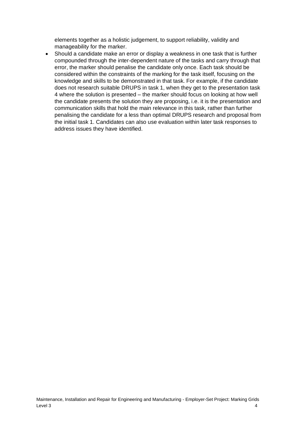elements together as a holistic judgement, to support reliability, validity and manageability for the marker.

• Should a candidate make an error or display a weakness in one task that is further compounded through the inter-dependent nature of the tasks and carry through that error, the marker should penalise the candidate only once. Each task should be considered within the constraints of the marking for the task itself, focusing on the knowledge and skills to be demonstrated in that task. For example, if the candidate does not research suitable DRUPS in task 1, when they get to the presentation task 4 where the solution is presented – the marker should focus on looking at how well the candidate presents the solution they are proposing, i.e. it is the presentation and communication skills that hold the main relevance in this task, rather than further penalising the candidate for a less than optimal DRUPS research and proposal from the initial task 1. Candidates can also use evaluation within later task responses to address issues they have identified.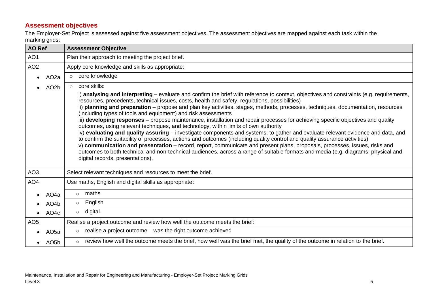# **Assessment objectives**

The Employer-Set Project is assessed against five assessment objectives. The assessment objectives are mapped against each task within the marking grids:

<span id="page-4-0"></span>

| <b>AO Ref</b>                  | <b>Assessment Objective</b>                                                                                                                                                                                                                                                                                                                                                                                                                                                                                                                                                                                                                                                                                                                                                                                                                                                                                                                                                                                                                                                                                                                                                                                                                         |  |  |  |  |  |  |  |
|--------------------------------|-----------------------------------------------------------------------------------------------------------------------------------------------------------------------------------------------------------------------------------------------------------------------------------------------------------------------------------------------------------------------------------------------------------------------------------------------------------------------------------------------------------------------------------------------------------------------------------------------------------------------------------------------------------------------------------------------------------------------------------------------------------------------------------------------------------------------------------------------------------------------------------------------------------------------------------------------------------------------------------------------------------------------------------------------------------------------------------------------------------------------------------------------------------------------------------------------------------------------------------------------------|--|--|--|--|--|--|--|
| AO <sub>1</sub>                | Plan their approach to meeting the project brief.                                                                                                                                                                                                                                                                                                                                                                                                                                                                                                                                                                                                                                                                                                                                                                                                                                                                                                                                                                                                                                                                                                                                                                                                   |  |  |  |  |  |  |  |
| AO <sub>2</sub>                | Apply core knowledge and skills as appropriate:                                                                                                                                                                                                                                                                                                                                                                                                                                                                                                                                                                                                                                                                                                                                                                                                                                                                                                                                                                                                                                                                                                                                                                                                     |  |  |  |  |  |  |  |
| AO <sub>2</sub> a<br>$\bullet$ | o core knowledge                                                                                                                                                                                                                                                                                                                                                                                                                                                                                                                                                                                                                                                                                                                                                                                                                                                                                                                                                                                                                                                                                                                                                                                                                                    |  |  |  |  |  |  |  |
| AO <sub>2</sub> b              | core skills:<br>$\circ$                                                                                                                                                                                                                                                                                                                                                                                                                                                                                                                                                                                                                                                                                                                                                                                                                                                                                                                                                                                                                                                                                                                                                                                                                             |  |  |  |  |  |  |  |
|                                | i) analysing and interpreting – evaluate and confirm the brief with reference to context, objectives and constraints (e.g. requirements,<br>resources, precedents, technical issues, costs, health and safety, regulations, possibilities)<br>ii) planning and preparation – propose and plan key activities, stages, methods, processes, techniques, documentation, resources<br>(including types of tools and equipment) and risk assessments<br>iii) developing responses – propose maintenance, installation and repair processes for achieving specific objectives and quality<br>outcomes, using relevant techniques, and technology, within limits of own authority<br>iv) evaluating and quality assuring – investigate components and systems, to gather and evaluate relevant evidence and data, and<br>to confirm the suitability of processes, actions and outcomes (including quality control and quality assurance activities)<br>v) communication and presentation - record, report, communicate and present plans, proposals, processes, issues, risks and<br>outcomes to both technical and non-technical audiences, across a range of suitable formats and media (e.g. diagrams; physical and<br>digital records, presentations). |  |  |  |  |  |  |  |
| AO <sub>3</sub>                | Select relevant techniques and resources to meet the brief.                                                                                                                                                                                                                                                                                                                                                                                                                                                                                                                                                                                                                                                                                                                                                                                                                                                                                                                                                                                                                                                                                                                                                                                         |  |  |  |  |  |  |  |
| AO <sub>4</sub>                | Use maths, English and digital skills as appropriate:                                                                                                                                                                                                                                                                                                                                                                                                                                                                                                                                                                                                                                                                                                                                                                                                                                                                                                                                                                                                                                                                                                                                                                                               |  |  |  |  |  |  |  |
| AO <sub>4</sub> a              | maths<br>$\circ$                                                                                                                                                                                                                                                                                                                                                                                                                                                                                                                                                                                                                                                                                                                                                                                                                                                                                                                                                                                                                                                                                                                                                                                                                                    |  |  |  |  |  |  |  |
| AO <sub>4</sub> b              | English<br>$\circ$                                                                                                                                                                                                                                                                                                                                                                                                                                                                                                                                                                                                                                                                                                                                                                                                                                                                                                                                                                                                                                                                                                                                                                                                                                  |  |  |  |  |  |  |  |
| AO <sub>4</sub> c<br>$\bullet$ | digital.<br>$\circ$                                                                                                                                                                                                                                                                                                                                                                                                                                                                                                                                                                                                                                                                                                                                                                                                                                                                                                                                                                                                                                                                                                                                                                                                                                 |  |  |  |  |  |  |  |
| AO <sub>5</sub>                | Realise a project outcome and review how well the outcome meets the brief:                                                                                                                                                                                                                                                                                                                                                                                                                                                                                                                                                                                                                                                                                                                                                                                                                                                                                                                                                                                                                                                                                                                                                                          |  |  |  |  |  |  |  |
| AO <sub>5a</sub>               | realise a project outcome – was the right outcome achieved<br>$\circ$                                                                                                                                                                                                                                                                                                                                                                                                                                                                                                                                                                                                                                                                                                                                                                                                                                                                                                                                                                                                                                                                                                                                                                               |  |  |  |  |  |  |  |
| AO <sub>5</sub> b              | review how well the outcome meets the brief, how well was the brief met, the quality of the outcome in relation to the brief.<br>$\circ$                                                                                                                                                                                                                                                                                                                                                                                                                                                                                                                                                                                                                                                                                                                                                                                                                                                                                                                                                                                                                                                                                                            |  |  |  |  |  |  |  |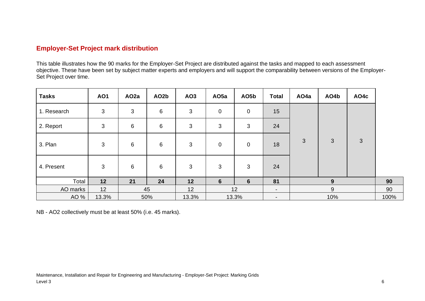### **Employer-Set Project mark distribution**

This table illustrates how the 90 marks for the Employer-Set Project are distributed against the tasks and mapped to each assessment objective. These have been set by subject matter experts and employers and will support the comparability between versions of the Employer-Set Project over time.

| <b>Tasks</b> | <b>AO1</b> | AO <sub>2</sub> a | AO <sub>2</sub> b | AO <sub>3</sub> | AO <sub>5a</sub> | AO5b        | <b>Total</b>   | AO4a | AO4b         | AO4c           |  |
|--------------|------------|-------------------|-------------------|-----------------|------------------|-------------|----------------|------|--------------|----------------|--|
| 1. Research  | 3          | $\mathbf{3}$      | $\,6$             | $\mathfrak{B}$  | $\overline{0}$   | $\mathbf 0$ | 15             |      |              |                |  |
| 2. Report    | 3          | 6                 | $\,6$             | 3               | 3                | 3           | 24             |      |              |                |  |
| 3. Plan      | 3          | 6                 | 6                 | 3               | $\mathbf 0$      | $\mathbf 0$ | 18             | 3    | $\mathbf{3}$ | $\mathfrak{S}$ |  |
| 4. Present   | 3          | 6                 | 6                 | 3               | 3                | 3           | 24             |      |              |                |  |
| Total        | 12         | 21                | 24                | 12              | 6                | 6           | 81             |      | 9            |                |  |
| AO marks     | 12         |                   | 45                | 12              |                  | 12          | $\blacksquare$ |      | 9            |                |  |
| AO %         | 13.3%      |                   | 50%               | 13.3%           |                  | 13.3%       | -              |      | 10%          |                |  |

<span id="page-5-0"></span>NB - AO2 collectively must be at least 50% (i.e. 45 marks).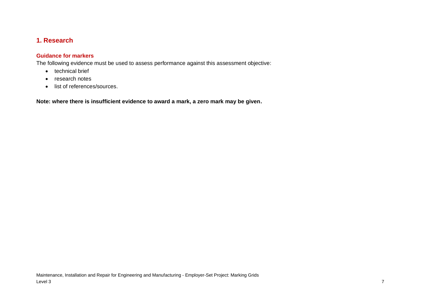# **1. Research**

### **Guidance for markers**

The following evidence must be used to assess performance against this assessment objective:

- technical brief
- research notes
- <span id="page-6-0"></span>• list of references/sources.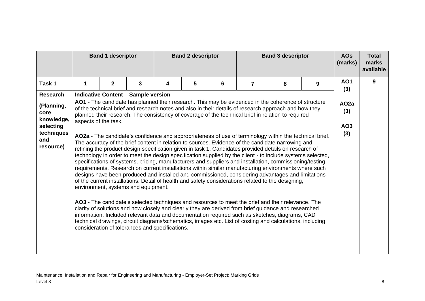|                                             |   | <b>Band 1 descriptor</b>                                                                                                                                                                                                                                                                                                                   |                                                                                        | <b>Band 2 descriptor</b><br><b>Band 3 descriptor</b> |   |   |   |                                                                                                                                                                                                                                                                                                                                                                                                                                                                                                                                                                                                                                                                                                                                                                                                                                                                                                                                                                                                                                                                                                                                                                                                                                                                                               | <b>AOs</b><br>(marks) | <b>Total</b><br>marks<br>available |   |
|---------------------------------------------|---|--------------------------------------------------------------------------------------------------------------------------------------------------------------------------------------------------------------------------------------------------------------------------------------------------------------------------------------------|----------------------------------------------------------------------------------------|------------------------------------------------------|---|---|---|-----------------------------------------------------------------------------------------------------------------------------------------------------------------------------------------------------------------------------------------------------------------------------------------------------------------------------------------------------------------------------------------------------------------------------------------------------------------------------------------------------------------------------------------------------------------------------------------------------------------------------------------------------------------------------------------------------------------------------------------------------------------------------------------------------------------------------------------------------------------------------------------------------------------------------------------------------------------------------------------------------------------------------------------------------------------------------------------------------------------------------------------------------------------------------------------------------------------------------------------------------------------------------------------------|-----------------------|------------------------------------|---|
| Task 1                                      | 1 | $\mathbf{2}$                                                                                                                                                                                                                                                                                                                               | 3                                                                                      | 4                                                    | 5 | 6 | 7 | 8                                                                                                                                                                                                                                                                                                                                                                                                                                                                                                                                                                                                                                                                                                                                                                                                                                                                                                                                                                                                                                                                                                                                                                                                                                                                                             | 9                     | <b>AO1</b>                         | 9 |
| <b>Research</b>                             |   |                                                                                                                                                                                                                                                                                                                                            | <b>Indicative Content - Sample version</b>                                             |                                                      |   |   |   |                                                                                                                                                                                                                                                                                                                                                                                                                                                                                                                                                                                                                                                                                                                                                                                                                                                                                                                                                                                                                                                                                                                                                                                                                                                                                               |                       | (3)                                |   |
| (Planning,<br>core<br>knowledge,            |   | AO1 - The candidate has planned their research. This may be evidenced in the coherence of structure<br>of the technical brief and research notes and also in their details of research approach and how they<br>planned their research. The consistency of coverage of the technical brief in relation to required<br>aspects of the task. |                                                                                        |                                                      |   |   |   |                                                                                                                                                                                                                                                                                                                                                                                                                                                                                                                                                                                                                                                                                                                                                                                                                                                                                                                                                                                                                                                                                                                                                                                                                                                                                               |                       |                                    |   |
| selecting<br>techniques<br>and<br>resource) |   |                                                                                                                                                                                                                                                                                                                                            | environment, systems and equipment.<br>consideration of tolerances and specifications. |                                                      |   |   |   | AO2a - The candidate's confidence and appropriateness of use of terminology within the technical brief.<br>The accuracy of the brief content in relation to sources. Evidence of the candidate narrowing and<br>refining the product design specification given in task 1. Candidates provided details on research of<br>technology in order to meet the design specification supplied by the client - to include systems selected,<br>specifications of systems, pricing, manufacturers and suppliers and installation, commissioning/testing<br>requirements. Research on current installations within similar manufacturing environments where such<br>designs have been produced and installed and commissioned, considering advantages and limitations<br>of the current installations. Detail of health and safety considerations related to the designing,<br>AO3 - The candidate's selected techniques and resources to meet the brief and their relevance. The<br>clarity of solutions and how closely and clearly they are derived from brief guidance and researched<br>information. Included relevant data and documentation required such as sketches, diagrams, CAD<br>technical drawings, circuit diagrams/schematics, images etc. List of costing and calculations, including |                       | AO3<br>(3)                         |   |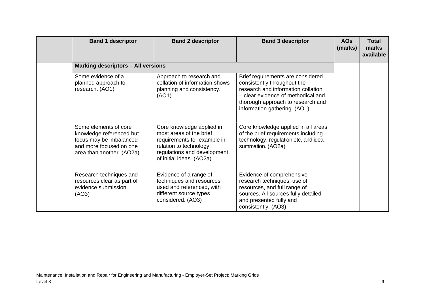| <b>Band 1 descriptor</b>                                                                                                             | <b>Band 2 descriptor</b>                                                                                                                                                  | <b>Band 3 descriptor</b>                                                                                                                                                                                          | <b>AOs</b><br>(marks) | <b>Total</b><br>marks<br>available |
|--------------------------------------------------------------------------------------------------------------------------------------|---------------------------------------------------------------------------------------------------------------------------------------------------------------------------|-------------------------------------------------------------------------------------------------------------------------------------------------------------------------------------------------------------------|-----------------------|------------------------------------|
| <b>Marking descriptors - All versions</b>                                                                                            |                                                                                                                                                                           |                                                                                                                                                                                                                   |                       |                                    |
| Some evidence of a<br>planned approach to<br>research. (AO1)                                                                         | Approach to research and<br>collation of information shows<br>planning and consistency.<br>(AO1)                                                                          | Brief requirements are considered<br>consistently throughout the<br>research and information collation<br>- clear evidence of methodical and<br>thorough approach to research and<br>information gathering. (AO1) |                       |                                    |
| Some elements of core<br>knowledge referenced but<br>focus may be imbalanced<br>and more focused on one<br>area than another. (AO2a) | Core knowledge applied in<br>most areas of the brief<br>requirements for example in<br>relation to technology,<br>regulations and development<br>of initial ideas. (AO2a) | Core knowledge applied in all areas<br>of the brief requirements including -<br>technology, regulation etc, and idea<br>summation. (AO2a)                                                                         |                       |                                    |
| Research techniques and<br>resources clear as part of<br>evidence submission.<br>(AO3)                                               | Evidence of a range of<br>techniques and resources<br>used and referenced, with<br>different source types<br>considered. (AO3)                                            | Evidence of comprehensive<br>research techniques, use of<br>resources, and full range of<br>sources. All sources fully detailed<br>and presented fully and<br>consistently. (AO3)                                 |                       |                                    |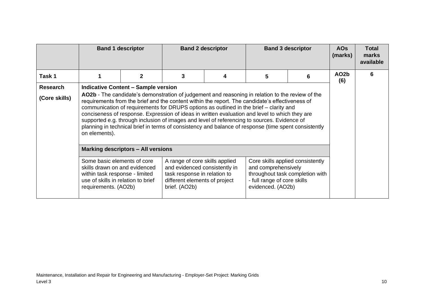|                                  |                                                                                                                                                                                                                                                                                                                                                                                                                                                                                                                                                                                                                                                                       | <b>Band 1 descriptor</b>                  |                                                                                                                                                   | <b>Band 2 descriptor</b> | <b>Band 3 descriptor</b>                                                | <b>AOs</b><br>(marks)                                               | <b>Total</b><br>marks<br>available |   |
|----------------------------------|-----------------------------------------------------------------------------------------------------------------------------------------------------------------------------------------------------------------------------------------------------------------------------------------------------------------------------------------------------------------------------------------------------------------------------------------------------------------------------------------------------------------------------------------------------------------------------------------------------------------------------------------------------------------------|-------------------------------------------|---------------------------------------------------------------------------------------------------------------------------------------------------|--------------------------|-------------------------------------------------------------------------|---------------------------------------------------------------------|------------------------------------|---|
| Task 1                           |                                                                                                                                                                                                                                                                                                                                                                                                                                                                                                                                                                                                                                                                       | 2                                         | 3                                                                                                                                                 | 4                        | 5                                                                       | 6                                                                   | AO <sub>2</sub> b<br>(6)           | 6 |
| <b>Research</b><br>(Core skills) | <b>Indicative Content – Sample version</b><br>AO2b - The candidate's demonstration of judgement and reasoning in relation to the review of the<br>requirements from the brief and the content within the report. The candidate's effectiveness of<br>communication of requirements for DRUPS options as outlined in the brief – clarity and<br>conciseness of response. Expression of ideas in written evaluation and level to which they are<br>supported e.g. through inclusion of images and level of referencing to sources. Evidence of<br>planning in technical brief in terms of consistency and balance of response (time spent consistently<br>on elements). |                                           |                                                                                                                                                   |                          |                                                                         |                                                                     |                                    |   |
|                                  |                                                                                                                                                                                                                                                                                                                                                                                                                                                                                                                                                                                                                                                                       | <b>Marking descriptors - All versions</b> |                                                                                                                                                   |                          |                                                                         |                                                                     |                                    |   |
|                                  | Some basic elements of core<br>skills drawn on and evidenced<br>within task response - limited<br>use of skills in relation to brief<br>requirements. (AO2b)                                                                                                                                                                                                                                                                                                                                                                                                                                                                                                          |                                           | A range of core skills applied<br>and evidenced consistently in<br>task response in relation to<br>different elements of project<br>brief. (AO2b) |                          | and comprehensively<br>- full range of core skills<br>evidenced. (AO2b) | Core skills applied consistently<br>throughout task completion with |                                    |   |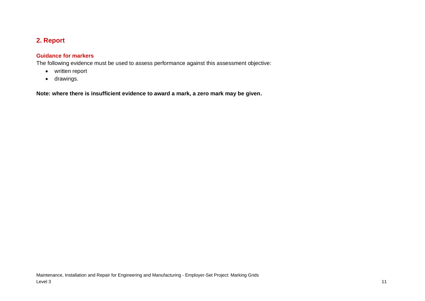# **2. Report**

### **Guidance for markers**

The following evidence must be used to assess performance against this assessment objective:

- written report
- <span id="page-10-0"></span>• drawings.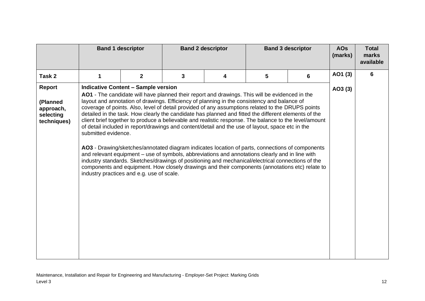|                                                             | <b>Band 1 descriptor</b> |                                                                                         |   | <b>Band 2 descriptor</b>                                                                                                                                                                                                                                                                                                                                                                                                                                                                                                                                                                                                                                                                                                                                                                                                                                                                                                                                                                                                              |   | <b>Band 3 descriptor</b> | <b>AOs</b><br>(marks) | <b>Total</b><br>marks<br>available |
|-------------------------------------------------------------|--------------------------|-----------------------------------------------------------------------------------------|---|---------------------------------------------------------------------------------------------------------------------------------------------------------------------------------------------------------------------------------------------------------------------------------------------------------------------------------------------------------------------------------------------------------------------------------------------------------------------------------------------------------------------------------------------------------------------------------------------------------------------------------------------------------------------------------------------------------------------------------------------------------------------------------------------------------------------------------------------------------------------------------------------------------------------------------------------------------------------------------------------------------------------------------------|---|--------------------------|-----------------------|------------------------------------|
| Task 2                                                      | 1                        | $\mathbf{2}$                                                                            | 3 | 4                                                                                                                                                                                                                                                                                                                                                                                                                                                                                                                                                                                                                                                                                                                                                                                                                                                                                                                                                                                                                                     | 5 | 6                        | AO1 (3)               | 6                                  |
| Report<br>(Planned<br>approach,<br>selecting<br>techniques) | submitted evidence.      | <b>Indicative Content - Sample version</b><br>industry practices and e.g. use of scale. |   | AO1 - The candidate will have planned their report and drawings. This will be evidenced in the<br>layout and annotation of drawings. Efficiency of planning in the consistency and balance of<br>coverage of points. Also, level of detail provided of any assumptions related to the DRUPS points<br>detailed in the task. How clearly the candidate has planned and fitted the different elements of the<br>client brief together to produce a believable and realistic response. The balance to the level/amount<br>of detail included in report/drawings and content/detail and the use of layout, space etc in the<br>AO3 - Drawing/sketches/annotated diagram indicates location of parts, connections of components<br>and relevant equipment – use of symbols, abbreviations and annotations clearly and in line with<br>industry standards. Sketches/drawings of positioning and mechanical/electrical connections of the<br>components and equipment. How closely drawings and their components (annotations etc) relate to |   |                          | AO3(3)                |                                    |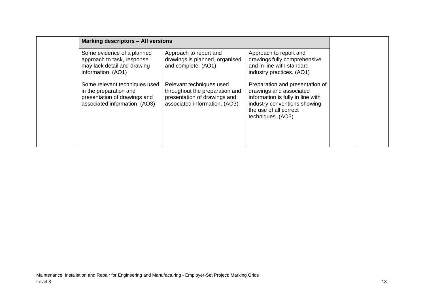| <b>Marking descriptors - All versions</b>                                                                                |                                                                                                                             |                                                                                                                                                                                |  |
|--------------------------------------------------------------------------------------------------------------------------|-----------------------------------------------------------------------------------------------------------------------------|--------------------------------------------------------------------------------------------------------------------------------------------------------------------------------|--|
| Some evidence of a planned<br>approach to task, response<br>may lack detail and drawing<br>information. (AO1)            | Approach to report and<br>drawings is planned, organised<br>and complete. (AO1)                                             | Approach to report and<br>drawings fully comprehensive<br>and in line with standard<br>industry practices. (AO1)                                                               |  |
| Some relevant techniques used<br>in the preparation and<br>presentation of drawings and<br>associated information. (AO3) | Relevant techniques used<br>throughout the preparation and<br>presentation of drawings and<br>associated information. (AO3) | Preparation and presentation of<br>drawings and associated<br>information is fully in line with<br>industry conventions showing<br>the use of all correct<br>techniques. (AO3) |  |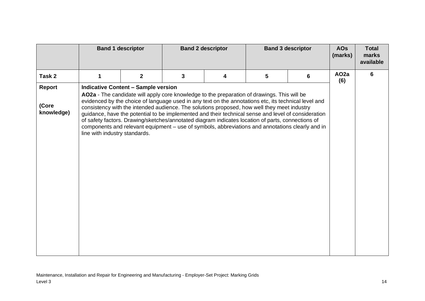|                                      |                               | <b>Band 1 descriptor</b>                   |   | <b>Band 2 descriptor</b>                                                                                                                                                                                                                                                                                                                                                                                                                                                                                                                                                                                           |   | <b>Band 3 descriptor</b> | <b>AOs</b><br>(marks)   | <b>Total</b><br>marks<br>available |
|--------------------------------------|-------------------------------|--------------------------------------------|---|--------------------------------------------------------------------------------------------------------------------------------------------------------------------------------------------------------------------------------------------------------------------------------------------------------------------------------------------------------------------------------------------------------------------------------------------------------------------------------------------------------------------------------------------------------------------------------------------------------------------|---|--------------------------|-------------------------|------------------------------------|
| Task 2                               | 1                             | $\mathbf{2}$                               | 3 | 4                                                                                                                                                                                                                                                                                                                                                                                                                                                                                                                                                                                                                  | 5 | 6                        | AO <sub>2a</sub><br>(6) | 6                                  |
| <b>Report</b><br>(Core<br>knowledge) | line with industry standards. | <b>Indicative Content - Sample version</b> |   | AO2a - The candidate will apply core knowledge to the preparation of drawings. This will be<br>evidenced by the choice of language used in any text on the annotations etc, its technical level and<br>consistency with the intended audience. The solutions proposed, how well they meet industry<br>guidance, have the potential to be implemented and their technical sense and level of consideration<br>of safety factors. Drawing/sketches/annotated diagram indicates location of parts, connections of<br>components and relevant equipment - use of symbols, abbreviations and annotations clearly and in |   |                          |                         |                                    |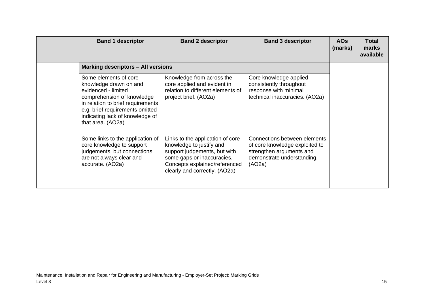| <b>Band 1 descriptor</b>                                                                                                                                                                                                             | <b>Band 2 descriptor</b>                                                                                                                                                                     | <b>Band 3 descriptor</b>                                                                                                           | <b>AOs</b><br>(marks) | Total<br>marks<br>available |
|--------------------------------------------------------------------------------------------------------------------------------------------------------------------------------------------------------------------------------------|----------------------------------------------------------------------------------------------------------------------------------------------------------------------------------------------|------------------------------------------------------------------------------------------------------------------------------------|-----------------------|-----------------------------|
| <b>Marking descriptors - All versions</b>                                                                                                                                                                                            |                                                                                                                                                                                              |                                                                                                                                    |                       |                             |
| Some elements of core<br>knowledge drawn on and<br>evidenced - limited<br>comprehension of knowledge<br>in relation to brief requirements<br>e.g. brief requirements omitted<br>indicating lack of knowledge of<br>that area. (AO2a) | Knowledge from across the<br>core applied and evident in<br>relation to different elements of<br>project brief. (AO2a)                                                                       | Core knowledge applied<br>consistently throughout<br>response with minimal<br>technical inaccuracies. (AO2a)                       |                       |                             |
| Some links to the application of<br>core knowledge to support<br>judgements, but connections<br>are not always clear and<br>accurate. (AO2a)                                                                                         | Links to the application of core<br>knowledge to justify and<br>support judgements, but with<br>some gaps or inaccuracies.<br>Concepts explained/referenced<br>clearly and correctly. (AO2a) | Connections between elements<br>of core knowledge exploited to<br>strengthen arguments and<br>demonstrate understanding.<br>(AO2a) |                       |                             |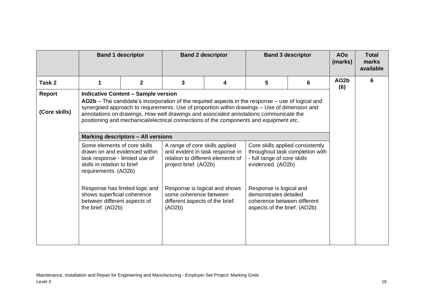|                                |                                                                                                                                                                                                                                                                                                                                                                                                                                     | <b>Band 1 descriptor</b> |                                                                                                                                                                                                                                         | <b>Band 2 descriptor</b> |                                                                                                                 | <b>Band 3 descriptor</b>        | <b>AOs</b><br>(marks)    | <b>Total</b><br>marks<br>available |
|--------------------------------|-------------------------------------------------------------------------------------------------------------------------------------------------------------------------------------------------------------------------------------------------------------------------------------------------------------------------------------------------------------------------------------------------------------------------------------|--------------------------|-----------------------------------------------------------------------------------------------------------------------------------------------------------------------------------------------------------------------------------------|--------------------------|-----------------------------------------------------------------------------------------------------------------|---------------------------------|--------------------------|------------------------------------|
| Task 2                         | 1                                                                                                                                                                                                                                                                                                                                                                                                                                   | $\overline{2}$           | 3                                                                                                                                                                                                                                       | 4                        | 5                                                                                                               | 6                               | AO <sub>2</sub> b<br>(6) | 6                                  |
| <b>Report</b><br>(Core skills) | <b>Indicative Content - Sample version</b><br>AO2b - The candidate's incorporation of the required aspects in the response - use of logical and<br>synergised approach to requirements. Use of proportion within drawings - Use of dimension and<br>annotations on drawings. How well drawings and associated annotations communicate the<br>positioning and mechanical/electrical connections of the components and equipment etc. |                          |                                                                                                                                                                                                                                         |                          |                                                                                                                 |                                 |                          |                                    |
|                                | <b>Marking descriptors - All versions</b>                                                                                                                                                                                                                                                                                                                                                                                           |                          |                                                                                                                                                                                                                                         |                          |                                                                                                                 |                                 |                          |                                    |
|                                | Some elements of core skills<br>drawn on and evidenced within<br>task response - limited use of<br>skills in relation to brief<br>requirements. (AO2b)<br>Response has limited logic and<br>shows superficial coherence<br>between different aspects of<br>the brief. (AO2b)                                                                                                                                                        |                          | A range of core skills applied<br>and evident in task response in<br>relation to different elements of<br>project brief. (AO2b)<br>Response is logical and shows<br>some coherence between<br>different aspects of the brief.<br>(AO2b) |                          | Core skills applied consistently<br>- full range of core skills<br>evidenced. (AO2b)                            | throughout task completion with |                          |                                    |
|                                |                                                                                                                                                                                                                                                                                                                                                                                                                                     |                          |                                                                                                                                                                                                                                         |                          | Response is logical and<br>demonstrates detailed<br>coherence between different<br>aspects of the brief. (AO2b) |                                 |                          |                                    |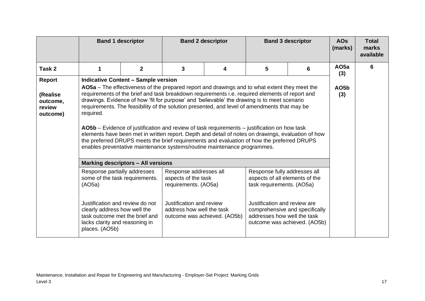|                                            |                                                                                                                                                                                                                                                                                                                                                                                                                                                                                                                                                                                                                                                                                                                                                                                              | <b>Band 1 descriptor</b>                   |                                                                                                                                | <b>Band 2 descriptor</b> |                                                                                                                             | <b>Band 3 descriptor</b>       | <b>AOs</b><br>(marks)   | <b>Total</b><br>marks<br>available |
|--------------------------------------------|----------------------------------------------------------------------------------------------------------------------------------------------------------------------------------------------------------------------------------------------------------------------------------------------------------------------------------------------------------------------------------------------------------------------------------------------------------------------------------------------------------------------------------------------------------------------------------------------------------------------------------------------------------------------------------------------------------------------------------------------------------------------------------------------|--------------------------------------------|--------------------------------------------------------------------------------------------------------------------------------|--------------------------|-----------------------------------------------------------------------------------------------------------------------------|--------------------------------|-------------------------|------------------------------------|
| Task 2                                     |                                                                                                                                                                                                                                                                                                                                                                                                                                                                                                                                                                                                                                                                                                                                                                                              | $\overline{2}$                             | 3                                                                                                                              | 4                        | 5                                                                                                                           | 6                              | AO <sub>5a</sub><br>(3) | 6                                  |
| Report                                     |                                                                                                                                                                                                                                                                                                                                                                                                                                                                                                                                                                                                                                                                                                                                                                                              | <b>Indicative Content - Sample version</b> |                                                                                                                                |                          |                                                                                                                             |                                |                         |                                    |
| (Realise<br>outcome,<br>review<br>outcome) | AO5a – The effectiveness of the prepared report and drawings and to what extent they meet the<br>requirements of the brief and task breakdown requirements i.e. required elements of report and<br>drawings. Evidence of how 'fit for purpose' and 'believable' the drawing is to meet scenario<br>requirements. The feasibility of the solution presented, and level of amendments that may be<br>required.<br>AO5b – Evidence of justification and review of task requirements – justification on how task<br>elements have been met in written report. Depth and detail of notes on drawings, evaluation of how<br>the preferred DRUPS meets the brief requirements and evaluation of how the preferred DRUPS<br>enables preventative maintenance systems/routine maintenance programmes. | AO5b<br>(3)                                |                                                                                                                                |                          |                                                                                                                             |                                |                         |                                    |
|                                            |                                                                                                                                                                                                                                                                                                                                                                                                                                                                                                                                                                                                                                                                                                                                                                                              | <b>Marking descriptors - All versions</b>  |                                                                                                                                |                          |                                                                                                                             |                                |                         |                                    |
|                                            | Response partially addresses<br>some of the task requirements.<br>(AO5a)<br>Justification and review do not<br>clearly address how well the                                                                                                                                                                                                                                                                                                                                                                                                                                                                                                                                                                                                                                                  |                                            | Response addresses all<br>aspects of the task<br>requirements. (AO5a)<br>Justification and review<br>address how well the task |                          | Response fully addresses all<br>aspects of all elements of the<br>task requirements. (AO5a)<br>Justification and review are | comprehensive and specifically |                         |                                    |
|                                            | task outcome met the brief and<br>lacks clarity and reasoning in<br>places. (AO5b)                                                                                                                                                                                                                                                                                                                                                                                                                                                                                                                                                                                                                                                                                                           |                                            | outcome was achieved. (AO5b)                                                                                                   |                          | addresses how well the task                                                                                                 | outcome was achieved. (AO5b)   |                         |                                    |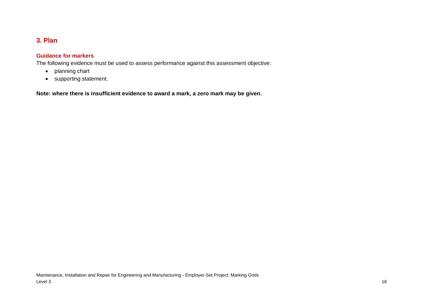# **3. Plan**

### **Guidance for markers**

The following evidence must be used to assess performance against this assessment objective:

- planning chart
- <span id="page-17-0"></span>• supporting statement.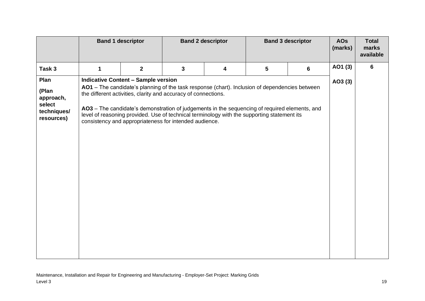|                                                                   |             | <b>Band 1 descriptor</b>                                                                                                                                               |                         | <b>Band 2 descriptor</b>                                                                                                                                                                                                                                                                       |                 | <b>Band 3 descriptor</b> | <b>AOs</b><br>(marks) | <b>Total</b><br>marks<br>available |
|-------------------------------------------------------------------|-------------|------------------------------------------------------------------------------------------------------------------------------------------------------------------------|-------------------------|------------------------------------------------------------------------------------------------------------------------------------------------------------------------------------------------------------------------------------------------------------------------------------------------|-----------------|--------------------------|-----------------------|------------------------------------|
| Task 3                                                            | $\mathbf 1$ | $\overline{2}$                                                                                                                                                         | $\overline{\mathbf{3}}$ | 4                                                                                                                                                                                                                                                                                              | $5\phantom{.0}$ | $6\phantom{1}$           | AO1 (3)               | $6\phantom{1}$                     |
| Plan<br>(Plan<br>approach,<br>select<br>techniques/<br>resources) |             | <b>Indicative Content - Sample version</b><br>the different activities, clarity and accuracy of connections.<br>consistency and appropriateness for intended audience. |                         | AO1 - The candidate's planning of the task response (chart). Inclusion of dependencies between<br>AO3 - The candidate's demonstration of judgements in the sequencing of required elements, and<br>level of reasoning provided. Use of technical terminology with the supporting statement its |                 |                          | AO3 (3)               |                                    |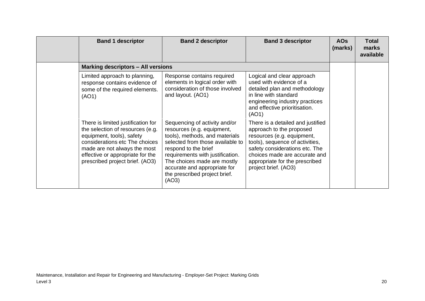| <b>Band 1 descriptor</b>                                                                                                                                                                                                                     | <b>Band 2 descriptor</b>                                                                                                                                                                                                                                                                               | <b>Band 3 descriptor</b>                                                                                                                                                                                                                                    | <b>AOs</b><br>(marks) | <b>Total</b><br>marks<br>available |
|----------------------------------------------------------------------------------------------------------------------------------------------------------------------------------------------------------------------------------------------|--------------------------------------------------------------------------------------------------------------------------------------------------------------------------------------------------------------------------------------------------------------------------------------------------------|-------------------------------------------------------------------------------------------------------------------------------------------------------------------------------------------------------------------------------------------------------------|-----------------------|------------------------------------|
| <b>Marking descriptors - All versions</b>                                                                                                                                                                                                    |                                                                                                                                                                                                                                                                                                        |                                                                                                                                                                                                                                                             |                       |                                    |
| Limited approach to planning,<br>response contains evidence of<br>some of the required elements.<br>(AO1)                                                                                                                                    | Response contains required<br>elements in logical order with<br>consideration of those involved<br>and layout. (AO1)                                                                                                                                                                                   | Logical and clear approach<br>used with evidence of a<br>detailed plan and methodology<br>in line with standard<br>engineering industry practices<br>and effective prioritisation.<br>(AO1)                                                                 |                       |                                    |
| There is limited justification for<br>the selection of resources (e.g.<br>equipment, tools), safety<br>considerations etc The choices<br>made are not always the most<br>effective or appropriate for the<br>prescribed project brief. (AO3) | Sequencing of activity and/or<br>resources (e.g. equipment,<br>tools), methods, and materials<br>selected from those available to<br>respond to the brief<br>requirements with justification.<br>The choices made are mostly<br>accurate and appropriate for<br>the prescribed project brief.<br>(AO3) | There is a detailed and justified<br>approach to the proposed<br>resources (e.g. equipment,<br>tools), sequence of activities,<br>safety considerations etc. The<br>choices made are accurate and<br>appropriate for the prescribed<br>project brief. (AO3) |                       |                                    |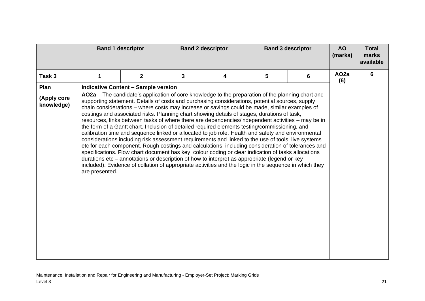|                           | <b>Band 1 descriptor</b><br><b>Band 2 descriptor</b><br><b>Band 3 descriptor</b> |                                            | <b>AO</b><br>(marks) | <b>Total</b><br>marks<br>available |                                                                                                                                                                                                                                                                                                                                                                                                                                                                                                                                                                                                                                                                                                                                                                                                                                                                                                                                                                                                                                                                                                                                                                                                                                               |   |                         |   |
|---------------------------|----------------------------------------------------------------------------------|--------------------------------------------|----------------------|------------------------------------|-----------------------------------------------------------------------------------------------------------------------------------------------------------------------------------------------------------------------------------------------------------------------------------------------------------------------------------------------------------------------------------------------------------------------------------------------------------------------------------------------------------------------------------------------------------------------------------------------------------------------------------------------------------------------------------------------------------------------------------------------------------------------------------------------------------------------------------------------------------------------------------------------------------------------------------------------------------------------------------------------------------------------------------------------------------------------------------------------------------------------------------------------------------------------------------------------------------------------------------------------|---|-------------------------|---|
| Task 3                    | 1                                                                                | $\mathbf 2$                                | 3                    | 4                                  | 5                                                                                                                                                                                                                                                                                                                                                                                                                                                                                                                                                                                                                                                                                                                                                                                                                                                                                                                                                                                                                                                                                                                                                                                                                                             | 6 | AO <sub>2a</sub><br>(6) | 6 |
| Plan                      |                                                                                  | <b>Indicative Content - Sample version</b> |                      |                                    |                                                                                                                                                                                                                                                                                                                                                                                                                                                                                                                                                                                                                                                                                                                                                                                                                                                                                                                                                                                                                                                                                                                                                                                                                                               |   |                         |   |
| (Apply core<br>knowledge) | are presented.                                                                   |                                            |                      |                                    | AO2a – The candidate's application of core knowledge to the preparation of the planning chart and<br>supporting statement. Details of costs and purchasing considerations, potential sources, supply<br>chain considerations – where costs may increase or savings could be made, similar examples of<br>costings and associated risks. Planning chart showing details of stages, durations of task,<br>resources, links between tasks of where there are dependencies/independent activities - may be in<br>the form of a Gantt chart. Inclusion of detailed required elements testing/commissioning, and<br>calibration time and sequence linked or allocated to job role. Health and safety and environmental<br>considerations including risk assessment requirements and linked to the use of tools, live systems<br>etc for each component. Rough costings and calculations, including consideration of tolerances and<br>specifications. Flow chart document has key, colour coding or clear indication of tasks allocations<br>durations etc – annotations or description of how to interpret as appropriate (legend or key<br>included). Evidence of collation of appropriate activities and the logic in the sequence in which they |   |                         |   |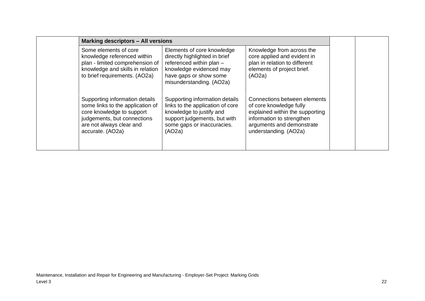| <b>Marking descriptors - All versions</b>                                                                                                                                      |                                                                                                                                                                          |                                                                                                                                                                               |  |
|--------------------------------------------------------------------------------------------------------------------------------------------------------------------------------|--------------------------------------------------------------------------------------------------------------------------------------------------------------------------|-------------------------------------------------------------------------------------------------------------------------------------------------------------------------------|--|
| Some elements of core<br>knowledge referenced within<br>plan - limited comprehension of<br>knowledge and skills in relation<br>to brief requirements. (AO2a)                   | Elements of core knowledge<br>directly highlighted in brief<br>referenced within plan -<br>knowledge evidenced may<br>have gaps or show some<br>misunderstanding. (AO2a) | Knowledge from across the<br>core applied and evident in<br>plan in relation to different<br>elements of project brief.<br>(AO2a)                                             |  |
| Supporting information details<br>some links to the application of<br>core knowledge to support<br>judgements, but connections<br>are not always clear and<br>accurate. (AO2a) | Supporting information details<br>links to the application of core<br>knowledge to justify and<br>support judgements, but with<br>some gaps or inaccuracies.<br>(AO2a)   | Connections between elements<br>of core knowledge fully<br>explained within the supporting<br>information to strengthen<br>arguments and demonstrate<br>understanding. (AO2a) |  |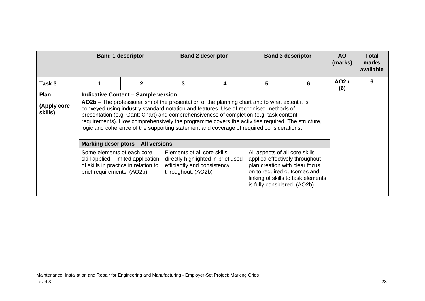|                                | <b>Band 1 descriptor</b><br><b>Band 2 descriptor</b><br><b>Band 3 descriptor</b>                                                                                                                                                                                                                                                                                                                                                                                                                                             |              |   | <b>AO</b><br>(marks) | <b>Total</b><br>marks<br>available |                                    |                          |   |
|--------------------------------|------------------------------------------------------------------------------------------------------------------------------------------------------------------------------------------------------------------------------------------------------------------------------------------------------------------------------------------------------------------------------------------------------------------------------------------------------------------------------------------------------------------------------|--------------|---|----------------------|------------------------------------|------------------------------------|--------------------------|---|
| Task 3                         |                                                                                                                                                                                                                                                                                                                                                                                                                                                                                                                              | $\mathbf{2}$ | 3 | 4                    | 5                                  | 6                                  | AO <sub>2</sub> b<br>(6) | 6 |
| Plan<br>(Apply core<br>skills) | <b>Indicative Content - Sample version</b><br>AO2b – The professionalism of the presentation of the planning chart and to what extent it is<br>conveyed using industry standard notation and features. Use of recognised methods of<br>presentation (e.g. Gantt Chart) and comprehensiveness of completion (e.g. task content<br>requirements). How comprehensively the programme covers the activities required. The structure,<br>logic and coherence of the supporting statement and coverage of required considerations. |              |   |                      |                                    |                                    |                          |   |
|                                | <b>Marking descriptors - All versions</b><br>Some elements of each core<br>skill applied - limited application<br>of skills in practice in relation to<br>brief requirements. (AO2b)                                                                                                                                                                                                                                                                                                                                         |              |   |                      |                                    |                                    |                          |   |
|                                |                                                                                                                                                                                                                                                                                                                                                                                                                                                                                                                              |              |   |                      | is fully considered. (AO2b)        | linking of skills to task elements |                          |   |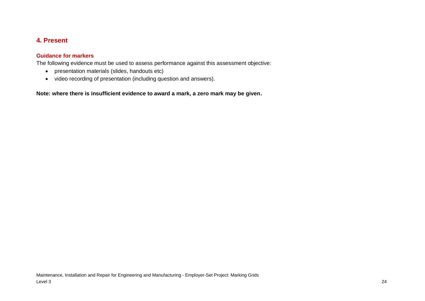### **4. Present**

### **Guidance for markers**

The following evidence must be used to assess performance against this assessment objective:

- presentation materials (slides, handouts etc)
- <span id="page-23-0"></span>• video recording of presentation (including question and answers).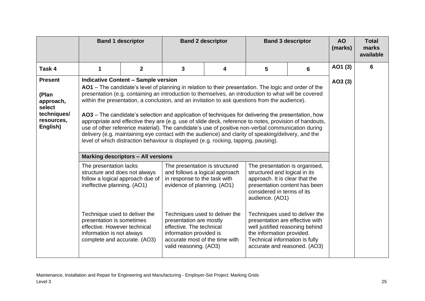|                                                                                         |                                                                                                                                                                                                                                                                                                                                                                                                                                                                                                                                                                                                                                                                                                                                                                                                                                                                                 | <b>Band 2 descriptor</b><br><b>Band 3 descriptor</b><br><b>Band 1 descriptor</b> |                                                                                                                                 | <b>AO</b><br>(marks) | <b>Total</b><br>marks<br>available                                                                                                                                                  |   |         |   |
|-----------------------------------------------------------------------------------------|---------------------------------------------------------------------------------------------------------------------------------------------------------------------------------------------------------------------------------------------------------------------------------------------------------------------------------------------------------------------------------------------------------------------------------------------------------------------------------------------------------------------------------------------------------------------------------------------------------------------------------------------------------------------------------------------------------------------------------------------------------------------------------------------------------------------------------------------------------------------------------|----------------------------------------------------------------------------------|---------------------------------------------------------------------------------------------------------------------------------|----------------------|-------------------------------------------------------------------------------------------------------------------------------------------------------------------------------------|---|---------|---|
| Task 4                                                                                  | 1                                                                                                                                                                                                                                                                                                                                                                                                                                                                                                                                                                                                                                                                                                                                                                                                                                                                               | $\mathbf{2}$                                                                     | 3                                                                                                                               | 4                    | 5                                                                                                                                                                                   | 6 | AO1 (3) | 6 |
| <b>Present</b><br>(Plan<br>approach,<br>select<br>techniques/<br>resources,<br>English) | <b>Indicative Content - Sample version</b><br>AO1 – The candidate's level of planning in relation to their presentation. The logic and order of the<br>presentation (e.g. containing an introduction to themselves, an introduction to what will be covered<br>within the presentation, a conclusion, and an invitation to ask questions from the audience).<br>AO3 – The candidate's selection and application of techniques for delivering the presentation, how<br>appropriate and effective they are (e.g. use of slide deck, reference to notes, provision of handouts,<br>use of other reference material). The candidate's use of positive non-verbal communication during<br>delivery (e.g. maintaining eye contact with the audience) and clarity of speaking/delivery, and the<br>level of which distraction behaviour is displayed (e.g. rocking, tapping, pausing). | AO3 (3)                                                                          |                                                                                                                                 |                      |                                                                                                                                                                                     |   |         |   |
|                                                                                         |                                                                                                                                                                                                                                                                                                                                                                                                                                                                                                                                                                                                                                                                                                                                                                                                                                                                                 | <b>Marking descriptors - All versions</b>                                        |                                                                                                                                 |                      |                                                                                                                                                                                     |   |         |   |
|                                                                                         | The presentation lacks<br>structure and does not always<br>ineffective planning. (AO1)                                                                                                                                                                                                                                                                                                                                                                                                                                                                                                                                                                                                                                                                                                                                                                                          | follow a logical approach due of                                                 | The presentation is structured<br>and follows a logical approach<br>in response to the task with<br>evidence of planning. (AO1) |                      | The presentation is organised,<br>structured and logical in its<br>approach. It is clear that the<br>presentation content has been<br>considered in terms of its<br>audience. (AO1) |   |         |   |
|                                                                                         | Techniques used to deliver the<br>Techniques used to deliver the<br>Technique used to deliver the<br>presentation is sometimes<br>presentation are mostly<br>presentation are effective with<br>effective. However technical<br>effective. The technical<br>well justified reasoning behind<br>the information provided.<br>information is not always<br>information provided is<br>Technical information is fully<br>complete and accurate. (AO3)<br>accurate most of the time with<br>accurate and reasoned. (AO3)<br>valid reasoning. (AO3)                                                                                                                                                                                                                                                                                                                                  |                                                                                  |                                                                                                                                 |                      |                                                                                                                                                                                     |   |         |   |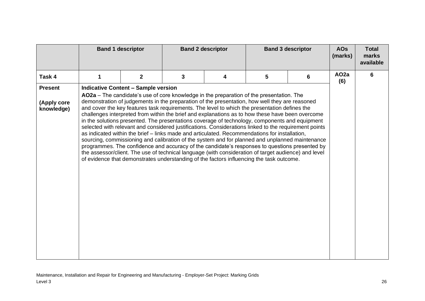|                           | <b>Band 1 descriptor</b> |                                            | <b>Band 2 descriptor</b><br><b>Band 3 descriptor</b> |                                                                                                                                                                                                                                                                                                                                                                                                                                                                                                                                                                                                                                                                                                                                                                                                                                                                                                                                                                                                                                                                                                                      | <b>AOs</b><br>(marks) | <b>Total</b><br>marks<br>available |                         |   |
|---------------------------|--------------------------|--------------------------------------------|------------------------------------------------------|----------------------------------------------------------------------------------------------------------------------------------------------------------------------------------------------------------------------------------------------------------------------------------------------------------------------------------------------------------------------------------------------------------------------------------------------------------------------------------------------------------------------------------------------------------------------------------------------------------------------------------------------------------------------------------------------------------------------------------------------------------------------------------------------------------------------------------------------------------------------------------------------------------------------------------------------------------------------------------------------------------------------------------------------------------------------------------------------------------------------|-----------------------|------------------------------------|-------------------------|---|
| Task 4                    |                          | $\mathbf{2}$                               | 3                                                    | 4                                                                                                                                                                                                                                                                                                                                                                                                                                                                                                                                                                                                                                                                                                                                                                                                                                                                                                                                                                                                                                                                                                                    | 5                     | 6                                  | AO <sub>2a</sub><br>(6) | 6 |
| <b>Present</b>            |                          | <b>Indicative Content - Sample version</b> |                                                      |                                                                                                                                                                                                                                                                                                                                                                                                                                                                                                                                                                                                                                                                                                                                                                                                                                                                                                                                                                                                                                                                                                                      |                       |                                    |                         |   |
| (Apply core<br>knowledge) |                          |                                            |                                                      | AO2a - The candidate's use of core knowledge in the preparation of the presentation. The<br>demonstration of judgements in the preparation of the presentation, how well they are reasoned<br>and cover the key features task requirements. The level to which the presentation defines the<br>challenges interpreted from within the brief and explanations as to how these have been overcome<br>in the solutions presented. The presentations coverage of technology, components and equipment<br>selected with relevant and considered justifications. Considerations linked to the requirement points<br>as indicated within the brief - links made and articulated. Recommendations for installation,<br>sourcing, commissioning and calibration of the system and for planned and unplanned maintenance<br>programmes. The confidence and accuracy of the candidate's responses to questions presented by<br>the assessor/client. The use of technical language (with consideration of target audience) and level<br>of evidence that demonstrates understanding of the factors influencing the task outcome. |                       |                                    |                         |   |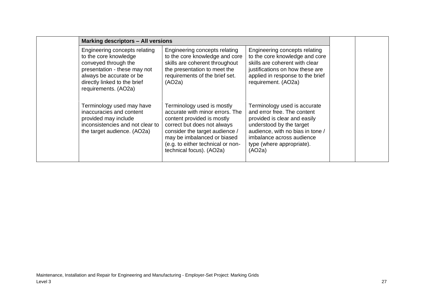| <b>Marking descriptors - All versions</b>                                                                                                                                                          |                                                                                                                                                                                                                                                              |                                                                                                                                                                                                                                 |  |
|----------------------------------------------------------------------------------------------------------------------------------------------------------------------------------------------------|--------------------------------------------------------------------------------------------------------------------------------------------------------------------------------------------------------------------------------------------------------------|---------------------------------------------------------------------------------------------------------------------------------------------------------------------------------------------------------------------------------|--|
| Engineering concepts relating<br>to the core knowledge<br>conveyed through the<br>presentation - these may not<br>always be accurate or be<br>directly linked to the brief<br>requirements. (AO2a) | Engineering concepts relating<br>to the core knowledge and core<br>skills are coherent throughout<br>the presentation to meet the<br>requirements of the brief set.<br>(AO2a)                                                                                | Engineering concepts relating<br>to the core knowledge and core<br>skills are coherent with clear<br>justifications on how these are<br>applied in response to the brief<br>requirement. (AO2a)                                 |  |
| Terminology used may have<br>inaccuracies and content<br>provided may include<br>inconsistencies and not clear to<br>the target audience. (AO2a)                                                   | Terminology used is mostly<br>accurate with minor errors. The<br>content provided is mostly<br>correct but does not always<br>consider the target audience /<br>may be imbalanced or biased<br>(e.g. to either technical or non-<br>technical focus). (AO2a) | Terminology used is accurate<br>and error free. The content<br>provided is clear and easily<br>understood by the target<br>audience, with no bias in tone /<br>imbalance across audience<br>type (where appropriate).<br>(AO2a) |  |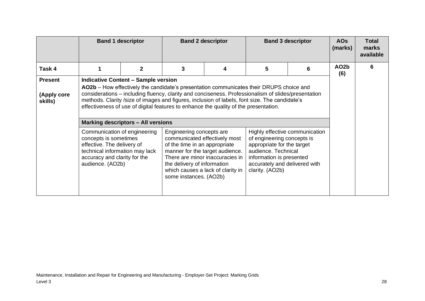|                                          |                                                                                                                                                                                                                                                                                                                                                                                                                                                                                    | <b>Band 1 descriptor</b> | <b>Band 2 descriptor</b> |   | <b>Band 3 descriptor</b>                                                                                                                                        |                                | <b>AOs</b><br>(marks)    | Total<br>marks<br>available |
|------------------------------------------|------------------------------------------------------------------------------------------------------------------------------------------------------------------------------------------------------------------------------------------------------------------------------------------------------------------------------------------------------------------------------------------------------------------------------------------------------------------------------------|--------------------------|--------------------------|---|-----------------------------------------------------------------------------------------------------------------------------------------------------------------|--------------------------------|--------------------------|-----------------------------|
| Task 4                                   |                                                                                                                                                                                                                                                                                                                                                                                                                                                                                    | $\mathbf{2}$             | 3                        | 4 | 5                                                                                                                                                               | 6                              | AO <sub>2</sub> b<br>(6) | 6                           |
| <b>Present</b><br>(Apply core<br>skills) | <b>Indicative Content - Sample version</b><br>AO2b – How effectively the candidate's presentation communicates their DRUPS choice and<br>considerations - including fluency, clarity and conciseness. Professionalism of slides/presentation<br>methods. Clarity /size of images and figures, inclusion of labels, font size. The candidate's<br>effectiveness of use of digital features to enhance the quality of the presentation.<br><b>Marking descriptors - All versions</b> |                          |                          |   |                                                                                                                                                                 |                                |                          |                             |
|                                          | Communication of engineering<br>Engineering concepts are<br>concepts is sometimes<br>communicated effectively most<br>effective. The delivery of<br>of the time in an appropriate<br>technical information may lack<br>manner for the target audience.<br>There are minor inaccuracies in<br>accuracy and clarity for the<br>audience. (AO2b)<br>the delivery of information<br>which causes a lack of clarity in<br>some instances. (AO2b)                                        |                          |                          |   | of engineering concepts is<br>appropriate for the target<br>audience. Technical<br>information is presented<br>accurately and delivered with<br>clarity. (AO2b) | Highly effective communication |                          |                             |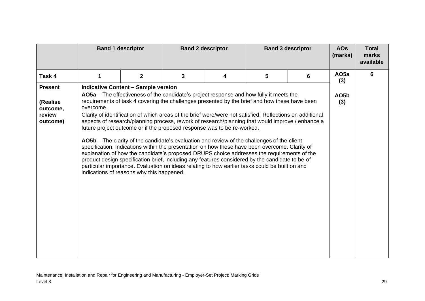|                                            | <b>Band 1 descriptor</b> |                                            | <b>Band 2 descriptor</b><br><b>Band 3 descriptor</b> |                                                                                                                                                                                                                                                                                                                                                                                                                                                                                                                                                                                                                                                                                                                                                                                                                                                                                                                                                                                         | <b>AOs</b><br>(marks) | <b>Total</b><br>marks<br>available |                         |   |
|--------------------------------------------|--------------------------|--------------------------------------------|------------------------------------------------------|-----------------------------------------------------------------------------------------------------------------------------------------------------------------------------------------------------------------------------------------------------------------------------------------------------------------------------------------------------------------------------------------------------------------------------------------------------------------------------------------------------------------------------------------------------------------------------------------------------------------------------------------------------------------------------------------------------------------------------------------------------------------------------------------------------------------------------------------------------------------------------------------------------------------------------------------------------------------------------------------|-----------------------|------------------------------------|-------------------------|---|
| Task 4                                     | 1                        | $\mathbf{2}$                               | 3                                                    | 4                                                                                                                                                                                                                                                                                                                                                                                                                                                                                                                                                                                                                                                                                                                                                                                                                                                                                                                                                                                       | 5                     | 6                                  | AO <sub>5a</sub><br>(3) | 6 |
| <b>Present</b>                             |                          | <b>Indicative Content - Sample version</b> |                                                      |                                                                                                                                                                                                                                                                                                                                                                                                                                                                                                                                                                                                                                                                                                                                                                                                                                                                                                                                                                                         |                       |                                    |                         |   |
| (Realise<br>outcome,<br>review<br>outcome) | overcome.                | indications of reasons why this happened.  |                                                      | AO5a - The effectiveness of the candidate's project response and how fully it meets the<br>requirements of task 4 covering the challenges presented by the brief and how these have been<br>Clarity of identification of which areas of the brief were/were not satisfied. Reflections on additional<br>aspects of research/planning process, rework of research/planning that would improve / enhance a<br>future project outcome or if the proposed response was to be re-worked.<br>AO5b – The clarity of the candidate's evaluation and review of the challenges of the client<br>specification. Indications within the presentation on how these have been overcome. Clarity of<br>explanation of how the candidate's proposed DRUPS choice addresses the requirements of the<br>product design specification brief, including any features considered by the candidate to be of<br>particular importance. Evaluation on ideas relating to how earlier tasks could be built on and |                       |                                    | AO5b<br>(3)             |   |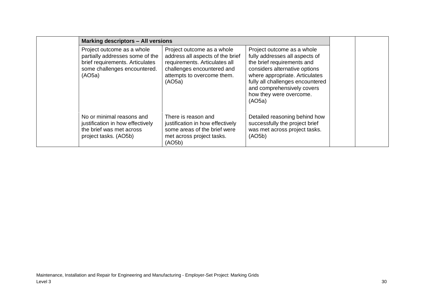| <b>Marking descriptors - All versions</b>                                                                                                  |                                                                                                                                                                       |                                                                                                                                                                                                                                                                      |  |
|--------------------------------------------------------------------------------------------------------------------------------------------|-----------------------------------------------------------------------------------------------------------------------------------------------------------------------|----------------------------------------------------------------------------------------------------------------------------------------------------------------------------------------------------------------------------------------------------------------------|--|
| Project outcome as a whole<br>partially addresses some of the<br>brief requirements. Articulates<br>some challenges encountered.<br>(AO5a) | Project outcome as a whole<br>address all aspects of the brief<br>requirements. Articulates all<br>challenges encountered and<br>attempts to overcome them.<br>(AO5a) | Project outcome as a whole<br>fully addresses all aspects of<br>the brief requirements and<br>considers alternative options<br>where appropriate. Articulates<br>fully all challenges encountered<br>and comprehensively covers<br>how they were overcome.<br>(AO5a) |  |
| No or minimal reasons and<br>justification in how effectively<br>the brief was met across<br>project tasks. (AO5b)                         | There is reason and<br>justification in how effectively<br>some areas of the brief were<br>met across project tasks.<br>(AO5b)                                        | Detailed reasoning behind how<br>successfully the project brief<br>was met across project tasks.<br>(AO5b)                                                                                                                                                           |  |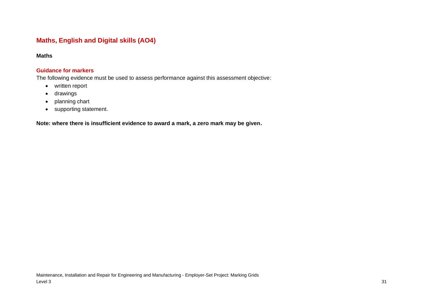## **Maths, English and Digital skills (AO4)**

### **Maths**

### **Guidance for markers**

The following evidence must be used to assess performance against this assessment objective:

- written report
- drawings
- planning chart
- <span id="page-30-0"></span>• supporting statement.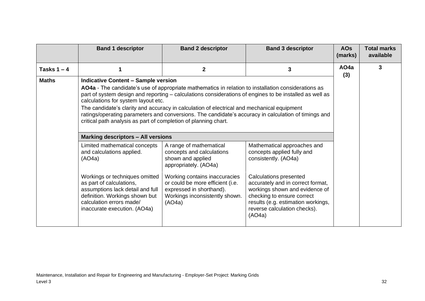|               | <b>Band 1 descriptor</b>                                                                                                                                                                                                                                                                                                                                                                                                                                                  | <b>Band 2 descriptor</b>                                                                                                                                                                                                                                                                                                                                                                                                                             | <b>Band 3 descriptor</b>                                                                                                                                                                                                                                                                                                                                                                                                                                                                                                   | <b>AOs</b><br>(marks) | <b>Total marks</b><br>available |
|---------------|---------------------------------------------------------------------------------------------------------------------------------------------------------------------------------------------------------------------------------------------------------------------------------------------------------------------------------------------------------------------------------------------------------------------------------------------------------------------------|------------------------------------------------------------------------------------------------------------------------------------------------------------------------------------------------------------------------------------------------------------------------------------------------------------------------------------------------------------------------------------------------------------------------------------------------------|----------------------------------------------------------------------------------------------------------------------------------------------------------------------------------------------------------------------------------------------------------------------------------------------------------------------------------------------------------------------------------------------------------------------------------------------------------------------------------------------------------------------------|-----------------------|---------------------------------|
| Tasks $1 - 4$ | 1                                                                                                                                                                                                                                                                                                                                                                                                                                                                         | $\mathbf{2}$                                                                                                                                                                                                                                                                                                                                                                                                                                         | $\mathbf{3}$                                                                                                                                                                                                                                                                                                                                                                                                                                                                                                               | AO <sub>4</sub> a     | 3                               |
| <b>Maths</b>  | <b>Indicative Content - Sample version</b><br>calculations for system layout etc.<br>critical path analysis as part of completion of planning chart.<br><b>Marking descriptors - All versions</b><br>Limited mathematical concepts<br>and calculations applied.<br>(AO4a)<br>Workings or techniques omitted<br>as part of calculations,<br>assumptions lack detail and full<br>definition. Workings shown but<br>calculation errors made/<br>inaccurate execution. (AO4a) | AO4a - The candidate's use of appropriate mathematics in relation to installation considerations as<br>The candidate's clarity and accuracy in calculation of electrical and mechanical equipment<br>A range of mathematical<br>concepts and calculations<br>shown and applied<br>appropriately. (AO4a)<br>Working contains inaccuracies<br>or could be more efficient (i.e.<br>expressed in shorthand).<br>Workings inconsistently shown.<br>(AO4a) | part of system design and reporting – calculations considerations of engines to be installed as well as<br>ratings/operating parameters and conversions. The candidate's accuracy in calculation of timings and<br>Mathematical approaches and<br>concepts applied fully and<br>consistently. (AO4a)<br><b>Calculations presented</b><br>accurately and in correct format,<br>workings shown and evidence of<br>checking to ensure correct<br>results (e.g. estimation workings,<br>reverse calculation checks).<br>(AO4a) | (3)                   |                                 |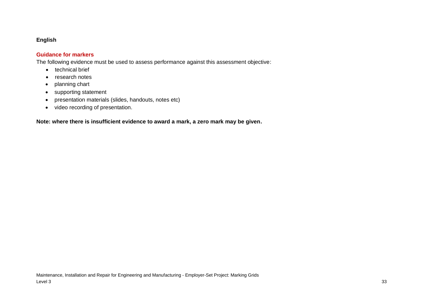### **English**

#### **Guidance for markers**

The following evidence must be used to assess performance against this assessment objective:

- technical brief
- research notes
- planning chart
- supporting statement
- presentation materials (slides, handouts, notes etc)
- video recording of presentation.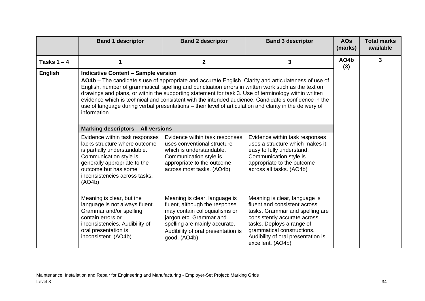|                | <b>Band 1 descriptor</b>                                                                                                                                                                                                                                                                                                                                                                                                                                                                                                                                                                              | <b>Band 2 descriptor</b>                                                                                                                                                                                          | <b>Band 3 descriptor</b>                                                                                                                                                                                                                               | <b>AOs</b><br>(marks) | <b>Total marks</b><br>available |
|----------------|-------------------------------------------------------------------------------------------------------------------------------------------------------------------------------------------------------------------------------------------------------------------------------------------------------------------------------------------------------------------------------------------------------------------------------------------------------------------------------------------------------------------------------------------------------------------------------------------------------|-------------------------------------------------------------------------------------------------------------------------------------------------------------------------------------------------------------------|--------------------------------------------------------------------------------------------------------------------------------------------------------------------------------------------------------------------------------------------------------|-----------------------|---------------------------------|
| Tasks $1 - 4$  | 1                                                                                                                                                                                                                                                                                                                                                                                                                                                                                                                                                                                                     | $\overline{2}$                                                                                                                                                                                                    | 3                                                                                                                                                                                                                                                      | AO4b<br>(3)           | 3                               |
| <b>English</b> | <b>Indicative Content - Sample version</b><br>AO4b - The candidate's use of appropriate and accurate English. Clarity and articulateness of use of<br>English, number of grammatical, spelling and punctuation errors in written work such as the text on<br>drawings and plans, or within the supporting statement for task 3. Use of terminology within written<br>evidence which is technical and consistent with the intended audience. Candidate's confidence in the<br>use of language during verbal presentations - their level of articulation and clarity in the delivery of<br>information. |                                                                                                                                                                                                                   |                                                                                                                                                                                                                                                        |                       |                                 |
|                | <b>Marking descriptors - All versions</b><br>Evidence within task responses<br>lacks structure where outcome<br>is partially understandable.<br>Communication style is<br>generally appropriate to the                                                                                                                                                                                                                                                                                                                                                                                                | Evidence within task responses<br>uses conventional structure<br>which is understandable.<br>Communication style is<br>appropriate to the outcome                                                                 | Evidence within task responses<br>uses a structure which makes it<br>easy to fully understand.<br>Communication style is<br>appropriate to the outcome                                                                                                 |                       |                                 |
|                | outcome but has some<br>inconsistencies across tasks.<br>(AO4b)                                                                                                                                                                                                                                                                                                                                                                                                                                                                                                                                       | across most tasks. (AO4b)                                                                                                                                                                                         | across all tasks. (AO4b)                                                                                                                                                                                                                               |                       |                                 |
|                | Meaning is clear, but the<br>language is not always fluent.<br>Grammar and/or spelling<br>contain errors or<br>inconsistencies. Audibility of<br>oral presentation is<br>inconsistent. (AO4b)                                                                                                                                                                                                                                                                                                                                                                                                         | Meaning is clear, language is<br>fluent, although the response<br>may contain colloquialisms or<br>jargon etc. Grammar and<br>spelling are mainly accurate.<br>Audibility of oral presentation is<br>good. (AO4b) | Meaning is clear, language is<br>fluent and consistent across<br>tasks. Grammar and spelling are<br>consistently accurate across<br>tasks. Deploys a range of<br>grammatical constructions.<br>Audibility of oral presentation is<br>excellent. (AO4b) |                       |                                 |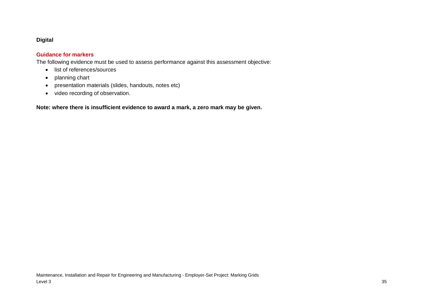### **Digital**

### **Guidance for markers**

The following evidence must be used to assess performance against this assessment objective:

- list of references/sources
- planning chart
- presentation materials (slides, handouts, notes etc)
- video recording of observation.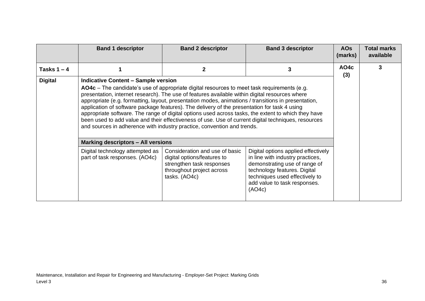|                | <b>Band 1 descriptor</b>                                                                                                                                                                                                                                                                                                                                                                                                                                                                                                                                                                                                                                                                                                                    | <b>Band 2 descriptor</b>                                                                                                                 | <b>Band 3 descriptor</b>                                                                                                                                                                                             | <b>AOs</b><br>(marks)    | <b>Total marks</b><br>available |
|----------------|---------------------------------------------------------------------------------------------------------------------------------------------------------------------------------------------------------------------------------------------------------------------------------------------------------------------------------------------------------------------------------------------------------------------------------------------------------------------------------------------------------------------------------------------------------------------------------------------------------------------------------------------------------------------------------------------------------------------------------------------|------------------------------------------------------------------------------------------------------------------------------------------|----------------------------------------------------------------------------------------------------------------------------------------------------------------------------------------------------------------------|--------------------------|---------------------------------|
| Tasks $1 - 4$  |                                                                                                                                                                                                                                                                                                                                                                                                                                                                                                                                                                                                                                                                                                                                             | $\mathbf{2}$                                                                                                                             | 3                                                                                                                                                                                                                    | AO <sub>4</sub> c<br>(3) | 3                               |
| <b>Digital</b> | <b>Indicative Content - Sample version</b><br>AO4c – The candidate's use of appropriate digital resources to meet task requirements (e.g.<br>presentation, internet research). The use of features available within digital resources where<br>appropriate (e.g. formatting, layout, presentation modes, animations / transitions in presentation,<br>application of software package features). The delivery of the presentation for task 4 using<br>appropriate software. The range of digital options used across tasks, the extent to which they have<br>been used to add value and their effectiveness of use. Use of current digital techniques, resources<br>and sources in adherence with industry practice, convention and trends. |                                                                                                                                          |                                                                                                                                                                                                                      |                          |                                 |
|                | Marking descriptors - All versions                                                                                                                                                                                                                                                                                                                                                                                                                                                                                                                                                                                                                                                                                                          |                                                                                                                                          |                                                                                                                                                                                                                      |                          |                                 |
|                | Digital technology attempted as<br>part of task responses. (AO4c)                                                                                                                                                                                                                                                                                                                                                                                                                                                                                                                                                                                                                                                                           | Consideration and use of basic<br>digital options/features to<br>strengthen task responses<br>throughout project across<br>tasks. (AO4c) | Digital options applied effectively<br>in line with industry practices,<br>demonstrating use of range of<br>technology features. Digital<br>techniques used effectively to<br>add value to task responses.<br>(AO4c) |                          |                                 |